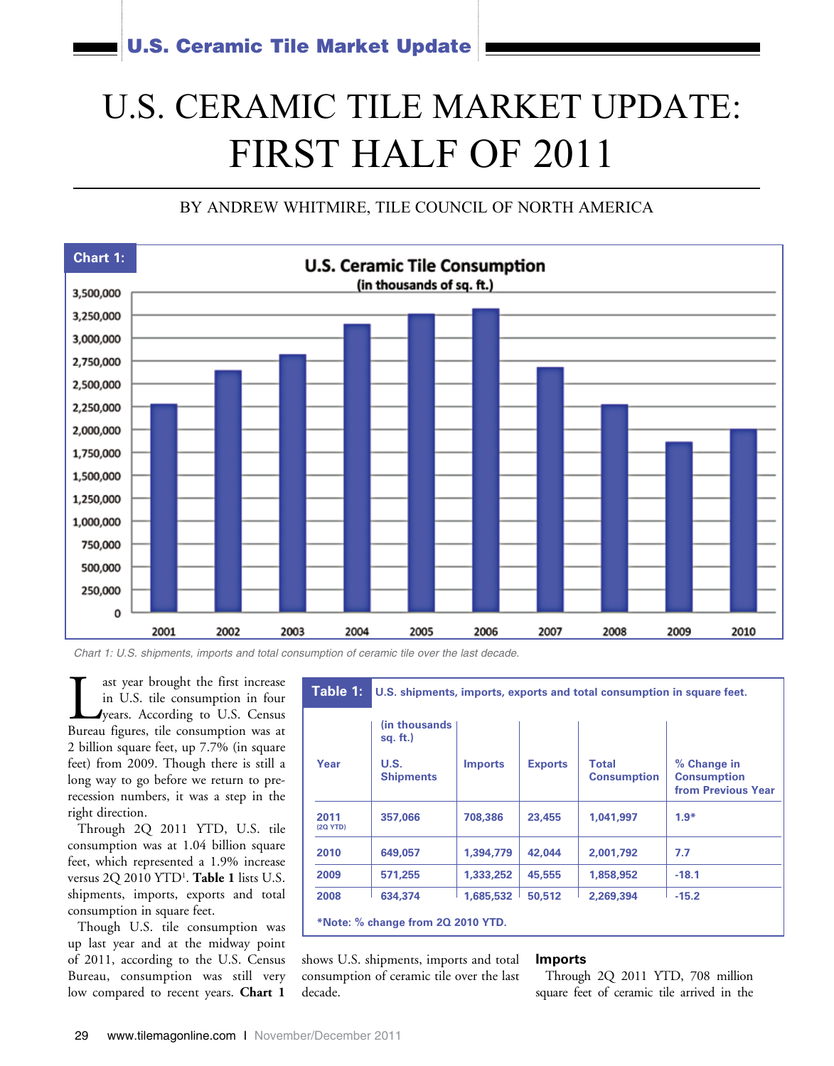# U.S. Ceramic Tile Market Update: FIRST HALF OF 2011

# by Andrew Whitmire, Tile Council of North America



*Chart 1: U.S. shipments, imports and total consumption of ceramic tile over the last decade.* 

I ast year brought the first increase<br>in U.S. tile consumption in four<br>years. According to U.S. Census<br>Bureau figures, tile consumption was at in U.S. tile consumption in four years. According to U.S. Census Bureau figures, tile consumption was at 2 billion square feet, up 7.7% (in square feet) from 2009. Though there is still a long way to go before we return to prerecession numbers, it was a step in the right direction.

Through 2Q 2011 YTD, U.S. tile consumption was at 1.04 billion square feet, which represented a 1.9% increase versus 2Q 2010 YTD1 . **Table 1** lists U.S. shipments, imports, exports and total consumption in square feet.

Though U.S. tile consumption was up last year and at the midway point of 2011, according to the U.S. Census Bureau, consumption was still very low compared to recent years. **Chart 1**

| Table 1:                | U.S. shipments, imports, exports and total consumption in square feet. |                |                |                                    |                                                         |  |
|-------------------------|------------------------------------------------------------------------|----------------|----------------|------------------------------------|---------------------------------------------------------|--|
| Year                    | (in thousands)<br>$sq.$ ft.)<br>U.S.<br><b>Shipments</b>               | <b>Imports</b> | <b>Exports</b> | <b>Total</b><br><b>Consumption</b> | % Change in<br><b>Consumption</b><br>from Previous Year |  |
| 2011<br><b>(20 YTD)</b> | 357,066                                                                | 708,386        | 23,455         | 1.041.997                          | $1.9*$                                                  |  |
| 2010                    | 649,057                                                                | 1,394,779      | 42,044         | 2,001,792                          | 7.7                                                     |  |
| 2009                    | 571,255                                                                | 1,333,252      | 45,555         | 1,858,952                          | $-18.1$                                                 |  |
| 2008                    | 634,374                                                                | 1,685,532      | 50,512         | 2.269.394                          | $-15.2$                                                 |  |
|                         | *Note: % change from 20 2010 YTD.                                      |                |                |                                    |                                                         |  |

shows U.S. shipments, imports and total consumption of ceramic tile over the last decade.

#### **Imports**

Through 2Q 2011 YTD, 708 million square feet of ceramic tile arrived in the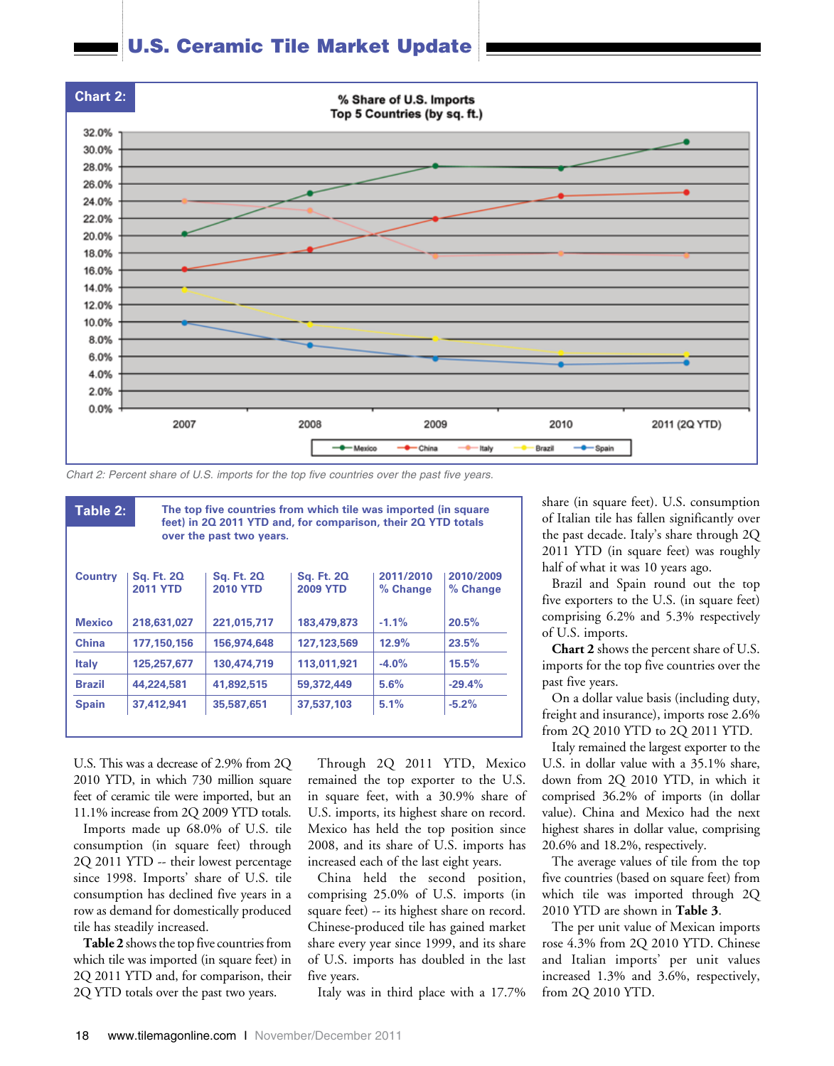# U.S. Ceramic Tile Market Update



*Chart 2: Percent share of U.S. imports for the top five countries over the past five years.*

| Table 2:       |                                      | The top five countries from which tile was imported (in square<br>feet) in 2Q 2011 YTD and, for comparison, their 2Q YTD totals |                                      |                       |                       |
|----------------|--------------------------------------|---------------------------------------------------------------------------------------------------------------------------------|--------------------------------------|-----------------------|-----------------------|
|                |                                      | over the past two years.                                                                                                        |                                      |                       |                       |
| <b>Country</b> | <b>Sq. Ft. 20</b><br><b>2011 YTD</b> | <b>Sq. Ft. 20</b><br><b>2010 YTD</b>                                                                                            | <b>Sq. Ft. 20</b><br><b>2009 YTD</b> | 2011/2010<br>% Change | 2010/2009<br>% Change |
| <b>Mexico</b>  | 218,631,027                          | 221.015.717                                                                                                                     | 183,479,873                          | $-1.1%$               | 20.5%                 |
| <b>China</b>   | 177.150.156                          | 156.974.648                                                                                                                     | 127.123.569                          | 12.9%                 | 23.5%                 |
| <b>Italy</b>   | 125,257,677                          | 130.474.719                                                                                                                     | 113,011,921                          | $-4.0%$               | 15.5%                 |
| <b>Brazil</b>  | 44.224.581                           | 41.892.515                                                                                                                      | 59,372,449                           | 5.6%                  | $-29.4%$              |
| <b>Spain</b>   | 37,412,941                           | 35,587,651                                                                                                                      | 37.537.103                           | 5.1%                  | $-5.2%$               |
|                |                                      |                                                                                                                                 |                                      |                       |                       |

U.S. This was a decrease of 2.9% from 2Q 2010 YTD, in which 730 million square feet of ceramic tile were imported, but an 11.1% increase from 2Q 2009 YTD totals.

Imports made up 68.0% of U.S. tile consumption (in square feet) through 2Q 2011 YTD -- their lowest percentage since 1998. Imports' share of U.S. tile consumption has declined five years in a row as demand for domestically produced tile has steadily increased.

**Table 2** shows the top five countries from which tile was imported (in square feet) in 2Q 2011 YTD and, for comparison, their 2Q YTD totals over the past two years.

Through 2Q 2011 YTD, Mexico remained the top exporter to the U.S. in square feet, with a 30.9% share of U.S. imports, its highest share on record. Mexico has held the top position since 2008, and its share of U.S. imports has increased each of the last eight years.

China held the second position, comprising 25.0% of U.S. imports (in square feet) -- its highest share on record. Chinese-produced tile has gained market share every year since 1999, and its share of U.S. imports has doubled in the last five years.

Italy was in third place with a 17.7%

share (in square feet). U.S. consumption of Italian tile has fallen significantly over the past decade. Italy's share through 2Q 2011 YTD (in square feet) was roughly half of what it was 10 years ago.

Brazil and Spain round out the top five exporters to the U.S. (in square feet) comprising 6.2% and 5.3% respectively of U.S. imports.

**Chart 2** shows the percent share of U.S. imports for the top five countries over the past five years.

On a dollar value basis (including duty, freight and insurance), imports rose 2.6% from 2Q 2010 YTD to 2Q 2011 YTD.

Italy remained the largest exporter to the U.S. in dollar value with a 35.1% share, down from 2Q 2010 YTD, in which it comprised 36.2% of imports (in dollar value). China and Mexico had the next highest shares in dollar value, comprising 20.6% and 18.2%, respectively.

The average values of tile from the top five countries (based on square feet) from which tile was imported through 2Q 2010 YTD are shown in **Table 3**.

The per unit value of Mexican imports rose 4.3% from 2Q 2010 YTD. Chinese and Italian imports' per unit values increased 1.3% and 3.6%, respectively, from 2Q 2010 YTD.